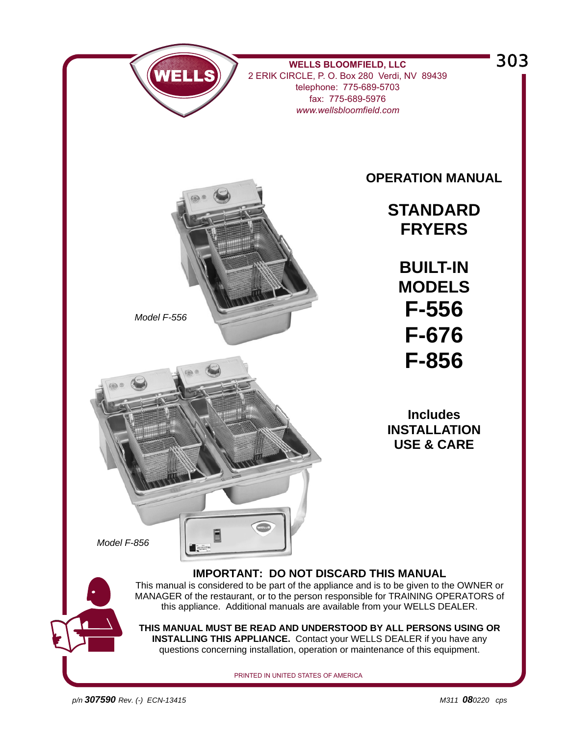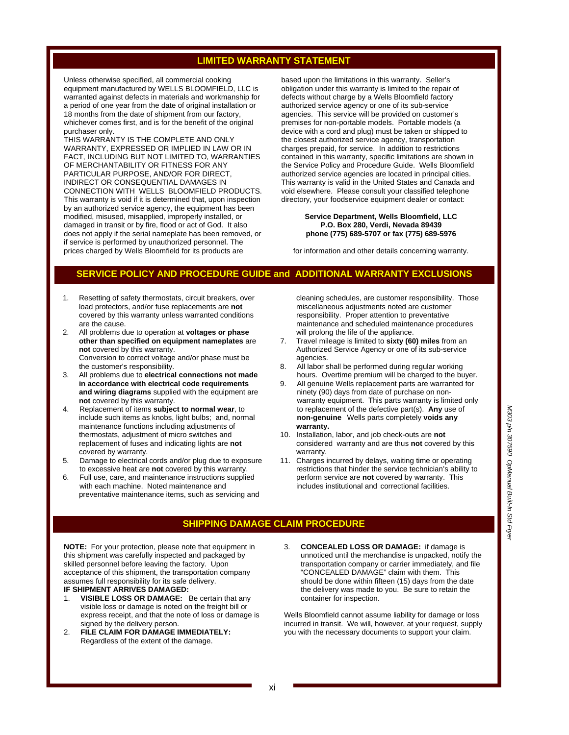#### **LIMITED WARRANTY STATEMENT**

Unless otherwise specified, all commercial cooking equipment manufactured by WELLS BLOOMFIELD, LLC is warranted against defects in materials and workmanship for a period of one year from the date of original installation or 18 months from the date of shipment from our factory, whichever comes first, and is for the benefit of the original purchaser only.

THIS WARRANTY IS THE COMPLETE AND ONLY WARRANTY, EXPRESSED OR IMPLIED IN LAW OR IN FACT, INCLUDING BUT NOT LIMITED TO, WARRANTIES OF MERCHANTABILITY OR FITNESS FOR ANY PARTICULAR PURPOSE, AND/OR FOR DIRECT, INDIRECT OR CONSEQUENTIAL DAMAGES IN CONNECTION WITH WELLS BLOOMFIELD PRODUCTS. This warranty is void if it is determined that, upon inspection by an authorized service agency, the equipment has been modified, misused, misapplied, improperly installed, or damaged in transit or by fire, flood or act of God. It also does not apply if the serial nameplate has been removed, or if service is performed by unauthorized personnel. The prices charged by Wells Bloomfield for its products are

based upon the limitations in this warranty. Seller's obligation under this warranty is limited to the repair of defects without charge by a Wells Bloomfield factory authorized service agency or one of its sub-service agencies. This service will be provided on customer's premises for non-portable models. Portable models (a device with a cord and plug) must be taken or shipped to the closest authorized service agency, transportation charges prepaid, for service. In addition to restrictions contained in this warranty, specific limitations are shown in the Service Policy and Procedure Guide. Wells Bloomfield authorized service agencies are located in principal cities. This warranty is valid in the United States and Canada and void elsewhere. Please consult your classified telephone directory, your foodservice equipment dealer or contact:

#### **Service Department, Wells Bloomfield, LLC P.O. Box 280, Verdi, Nevada 89439 phone (775) 689-5707 or fax (775) 689-5976**

for information and other details concerning warranty.

#### **SERVICE POLICY AND PROCEDURE GUIDE and ADDITIONAL WARRANTY EXCLUSIONS**

- 1. Resetting of safety thermostats, circuit breakers, over load protectors, and/or fuse replacements are **not** covered by this warranty unless warranted conditions are the cause.<br>2. All problems d
- 2. All problems due to operation at **voltages or phase other than specified on equipment nameplates** are **not** covered by this warranty. Conversion to correct voltage and/or phase must be the customer's responsibility.
- 3. All problems due to **electrical connections not made in accordance with electrical code requirements and wiring diagrams** supplied with the equipment are **not** covered by this warranty.
- 4. Replacement of items **subject to normal wear**, to include such items as knobs, light bulbs; and, normal maintenance functions including adjustments of thermostats, adjustment of micro switches and replacement of fuses and indicating lights are **not** covered by warranty.
- 5. Damage to electrical cords and/or plug due to exposure to excessive heat are **not** covered by this warranty.
- 6. Full use, care, and maintenance instructions supplied with each machine. Noted maintenance and preventative maintenance items, such as servicing and

 cleaning schedules, are customer responsibility. Those miscellaneous adjustments noted are customer responsibility. Proper attention to preventative maintenance and scheduled maintenance procedures will prolong the life of the appliance.

- 7. Travel mileage is limited to **sixty (60) miles** from an Authorized Service Agency or one of its sub-service agencies.<br>8 All labors
- All labor shall be performed during regular working hours. Overtime premium will be charged to the buyer.
- 9. All genuine Wells replacement parts are warranted for ninety (90) days from date of purchase on nonwarranty equipment. This parts warranty is limited only to replacement of the defective part(s). **Any** use of **non-genuine** Wells parts completely **voids any warranty.**
- 10. Installation, labor, and job check-outs are **not**  considered warranty and are thus **not** covered by this warranty.
- 11. Charges incurred by delays, waiting time or operating restrictions that hinder the service technician's ability to perform service are **not** covered by warranty. This includes institutional and correctional facilities.

#### **SHIPPING DAMAGE CLAIM PROCEDURE**

**NOTE:** For your protection, please note that equipment in this shipment was carefully inspected and packaged by skilled personnel before leaving the factory. Upon acceptance of this shipment, the transportation company assumes full responsibility for its safe delivery.

```
IF SHIPMENT ARRIVES DAMAGED:
```
- 1. **VISIBLE LOSS OR DAMAGE:** Be certain that any visible loss or damage is noted on the freight bill or express receipt, and that the note of loss or damage is signed by the delivery person.
- 2. **FILE CLAIM FOR DAMAGE IMMEDIATELY:**  Regardless of the extent of the damage.
- 3. **CONCEALED LOSS OR DAMAGE:** if damage is unnoticed until the merchandise is unpacked, notify the transportation company or carrier immediately, and file "CONCEALED DAMAGE" claim with them. This should be done within fifteen (15) days from the date the delivery was made to you. Be sure to retain the container for inspection.

Wells Bloomfield cannot assume liability for damage or loss incurred in transit. We will, however, at your request, supply you with the necessary documents to support your claim.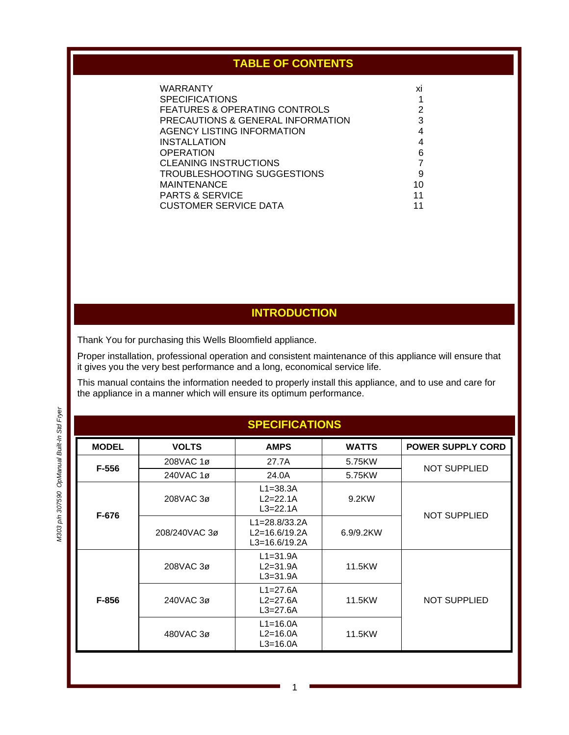# **TABLE OF CONTENTS**

| WARRANTY                          | ΧI |
|-----------------------------------|----|
| <b>SPECIFICATIONS</b>             |    |
| FEATURES & OPERATING CONTROLS     | 2  |
| PRECAUTIONS & GENERAL INFORMATION | 3  |
| AGENCY LISTING INFORMATION        | 4  |
| INSTALLATION                      | 4  |
| <b>OPERATION</b>                  | 6  |
| <b>CLEANING INSTRUCTIONS</b>      |    |
| TROUBLESHOOTING SUGGESTIONS       | 9  |
| <b>MAINTENANCE</b>                | 10 |
| <b>PARTS &amp; SERVICE</b>        | 11 |
| <b>CUSTOMER SERVICE DATA</b>      |    |
|                                   |    |

## **INTRODUCTION**

Thank You for purchasing this Wells Bloomfield appliance.

Proper installation, professional operation and consistent maintenance of this appliance will ensure that it gives you the very best performance and a long, economical service life.

This manual contains the information needed to properly install this appliance, and to use and care for the appliance in a manner which will ensure its optimum performance.

| <b>SPECIFICATIONS</b> |               |                                                             |              |                          |  |
|-----------------------|---------------|-------------------------------------------------------------|--------------|--------------------------|--|
| <b>MODEL</b>          | <b>VOLTS</b>  | <b>AMPS</b>                                                 | <b>WATTS</b> | <b>POWER SUPPLY CORD</b> |  |
| F-556                 | 208VAC 1ø     | 27.7A                                                       | 5.75KW       | <b>NOT SUPPLIED</b>      |  |
|                       | 240VAC 1ø     | 24.0A                                                       | 5.75KW       |                          |  |
| F-676                 | 208VAC 3ø     | $L1 = 38.3A$<br>$L2 = 22.1A$<br>$L3 = 22.1A$                | 9.2KW        | <b>NOT SUPPLIED</b>      |  |
|                       | 208/240VAC 3ø | $L1 = 28.8/33.2A$<br>$L2 = 16.6/19.2A$<br>$L3 = 16.6/19.2A$ | 6.9/9.2KW    |                          |  |
| F-856                 | 208VAC 3ø     | $L1 = 31.9A$<br>$L2 = 31.9A$<br>$L3 = 31.9A$                | 11.5KW       |                          |  |
|                       | 240VAC 3ø     | $L1 = 27.6A$<br>$L2 = 27.6A$<br>$L3 = 27.6A$                | 11.5KW       | <b>NOT SUPPLIED</b>      |  |
|                       | 480VAC 3ø     | $L1 = 16.0A$<br>$L2=16.0A$<br>$L3 = 16.0A$                  | 11.5KW       |                          |  |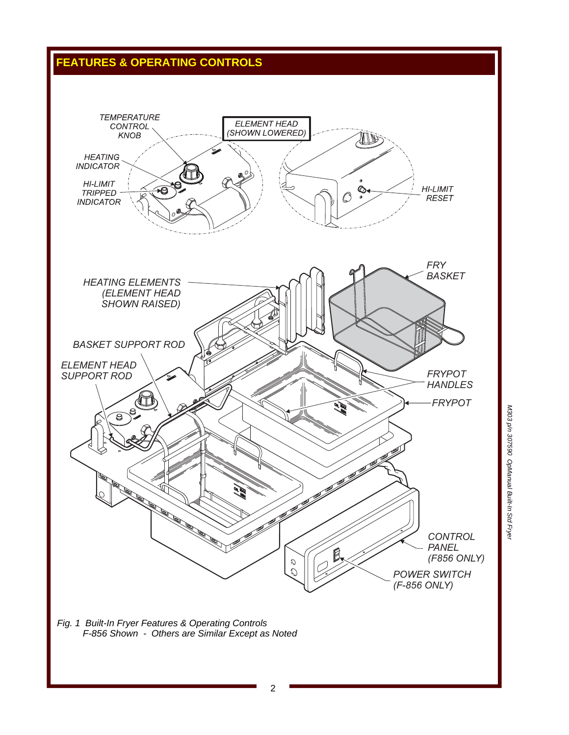# **FEATURES & OPERATING CONTROLS**



*Fig. 1 Built-In Fryer Features & Operating Controls F-856 Shown - Others are Similar Except as Noted*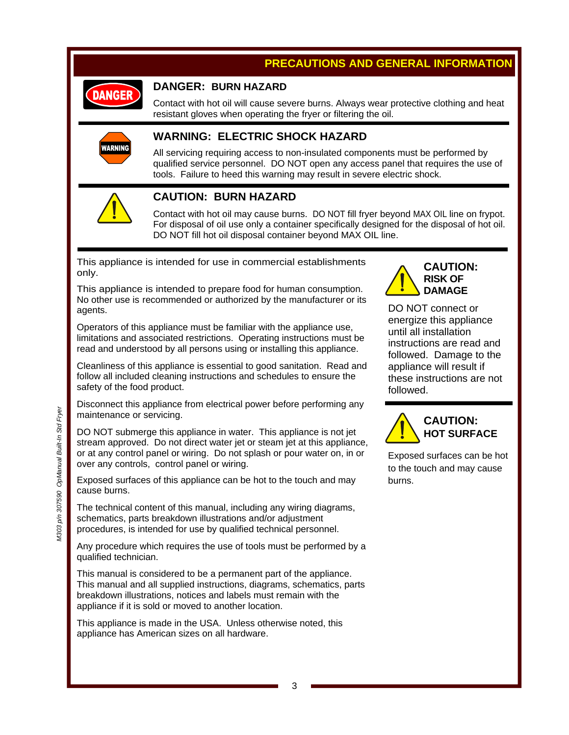## **PRECAUTIONS AND GENERAL INFORMATION**



### **DANGER: BURN HAZARD**

Contact with hot oil will cause severe burns. Always wear protective clothing and heat resistant gloves when operating the fryer or filtering the oil.



### **WARNING: ELECTRIC SHOCK HAZARD**

All servicing requiring access to non-insulated components must be performed by qualified service personnel. DO NOT open any access panel that requires the use of tools. Failure to heed this warning may result in severe electric shock.



### **CAUTION: BURN HAZARD**

Contact with hot oil may cause burns. DO NOT fill fryer beyond MAX OIL line on frypot. For disposal of oil use only a container specifically designed for the disposal of hot oil. DO NOT fill hot oil disposal container beyond MAX OIL line.

This appliance is intended for use in commercial establishments only.

This appliance is intended to prepare food for human consumption. No other use is recommended or authorized by the manufacturer or its agents.

Operators of this appliance must be familiar with the appliance use, limitations and associated restrictions. Operating instructions must be read and understood by all persons using or installing this appliance.

Cleanliness of this appliance is essential to good sanitation. Read and follow all included cleaning instructions and schedules to ensure the safety of the food product.

Disconnect this appliance from electrical power before performing any maintenance or servicing.

DO NOT submerge this appliance in water. This appliance is not jet stream approved. Do not direct water jet or steam jet at this appliance, or at any control panel or wiring. Do not splash or pour water on, in or over any controls, control panel or wiring.

Exposed surfaces of this appliance can be hot to the touch and may cause burns.

The technical content of this manual, including any wiring diagrams, schematics, parts breakdown illustrations and/or adjustment procedures, is intended for use by qualified technical personnel.

Any procedure which requires the use of tools must be performed by a qualified technician.

This manual is considered to be a permanent part of the appliance. This manual and all supplied instructions, diagrams, schematics, parts breakdown illustrations, notices and labels must remain with the appliance if it is sold or moved to another location.

This appliance is made in the USA. Unless otherwise noted, this appliance has American sizes on all hardware.



DO NOT connect or energize this appliance until all installation instructions are read and followed. Damage to the appliance will result if these instructions are not followed.



Exposed surfaces can be hot to the touch and may cause burns.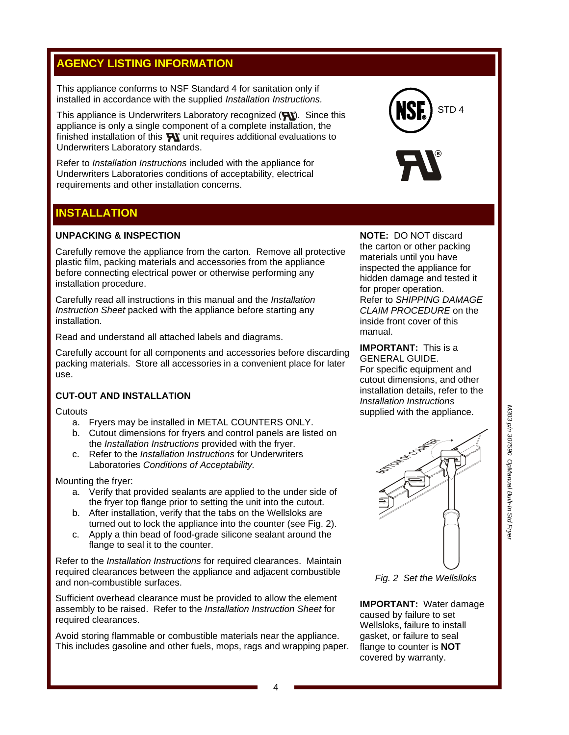## **AGENCY LISTING INFORMATION**

This appliance conforms to NSF Standard 4 for sanitation only if installed in accordance with the supplied *Installation Instructions.* 

This appliance is Underwriters Laboratory recognized  $(\bigtriangledown)$ . Since this appliance is only a single component of a complete installation, the finished installation of this  $\mathbb{R}$  unit requires additional evaluations to Underwriters Laboratory standards.

Refer to *Installation Instructions* included with the appliance for Underwriters Laboratories conditions of acceptability, electrical requirements and other installation concerns.

### **INSTALLATION**

#### **UNPACKING & INSPECTION**

Carefully remove the appliance from the carton. Remove all protective plastic film, packing materials and accessories from the appliance before connecting electrical power or otherwise performing any installation procedure.

Carefully read all instructions in this manual and the *Installation Instruction Sheet* packed with the appliance before starting any installation.

Read and understand all attached labels and diagrams.

Carefully account for all components and accessories before discarding packing materials. Store all accessories in a convenient place for later use.

### **CUT-OUT AND INSTALLATION**

**Cutouts** 

- a. Fryers may be installed in METAL COUNTERS ONLY.
- b. Cutout dimensions for fryers and control panels are listed on the *Installation Instructions* provided with the fryer.
- c. Refer to the *Installation Instructions* for Underwriters Laboratories *Conditions of Acceptability.*

Mounting the fryer:

- a. Verify that provided sealants are applied to the under side of the fryer top flange prior to setting the unit into the cutout.
- b. After installation, verify that the tabs on the Wellsloks are turned out to lock the appliance into the counter (see Fig. 2).
- c. Apply a thin bead of food-grade silicone sealant around the flange to seal it to the counter.

Refer to the *Installation Instructions* for required clearances. Maintain required clearances between the appliance and adjacent combustible and non-combustible surfaces.

Sufficient overhead clearance must be provided to allow the element assembly to be raised. Refer to the *Installation Instruction Sheet* for required clearances.

Avoid storing flammable or combustible materials near the appliance. This includes gasoline and other fuels, mops, rags and wrapping paper.





**NOTE:** DO NOT discard the carton or other packing materials until you have inspected the appliance for hidden damage and tested it for proper operation. Refer to *SHIPPING DAMAGE CLAIM PROCEDURE* on the inside front cover of this manual.

**IMPORTANT:** This is a GENERAL GUIDE. For specific equipment and cutout dimensions, and other installation details, refer to the *Installation Instructions* supplied with the appliance.



*Fig. 2 Set the Wellslloks* 

**IMPORTANT:** Water damage caused by failure to set Wellsloks, failure to install gasket, or failure to seal flange to counter is **NOT** covered by warranty.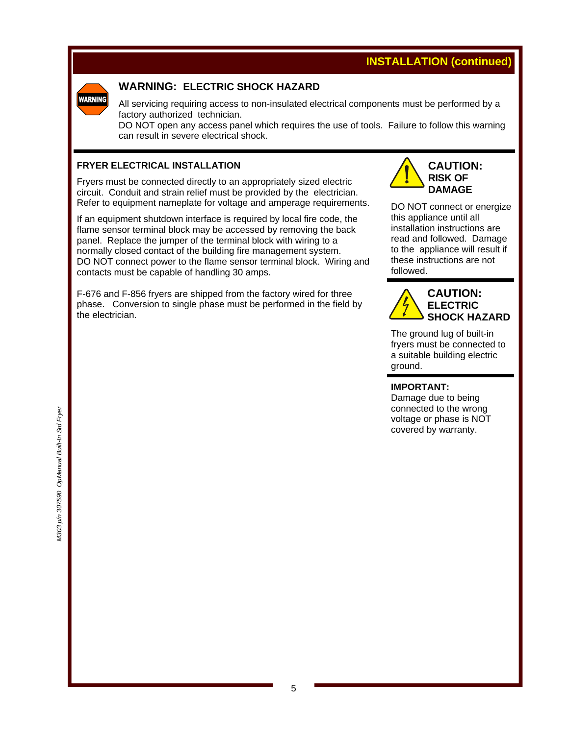# **INSTALLATION (continued)**



### **WARNING: ELECTRIC SHOCK HAZARD**

All servicing requiring access to non-insulated electrical components must be performed by a factory authorized technician.

DO NOT open any access panel which requires the use of tools. Failure to follow this warning can result in severe electrical shock.

#### **FRYER ELECTRICAL INSTALLATION**

Fryers must be connected directly to an appropriately sized electric circuit. Conduit and strain relief must be provided by the electrician. Refer to equipment nameplate for voltage and amperage requirements.

If an equipment shutdown interface is required by local fire code, the flame sensor terminal block may be accessed by removing the back panel. Replace the jumper of the terminal block with wiring to a normally closed contact of the building fire management system. DO NOT connect power to the flame sensor terminal block. Wiring and contacts must be capable of handling 30 amps.

F-676 and F-856 fryers are shipped from the factory wired for three phase. Conversion to single phase must be performed in the field by the electrician.



DO NOT connect or energize this appliance until all installation instructions are read and followed. Damage to the appliance will result if these instructions are not followed.



The ground lug of built-in fryers must be connected to a suitable building electric ground.

**IMPORTANT:** 

Damage due to being connected to the wrong voltage or phase is NOT covered by warranty.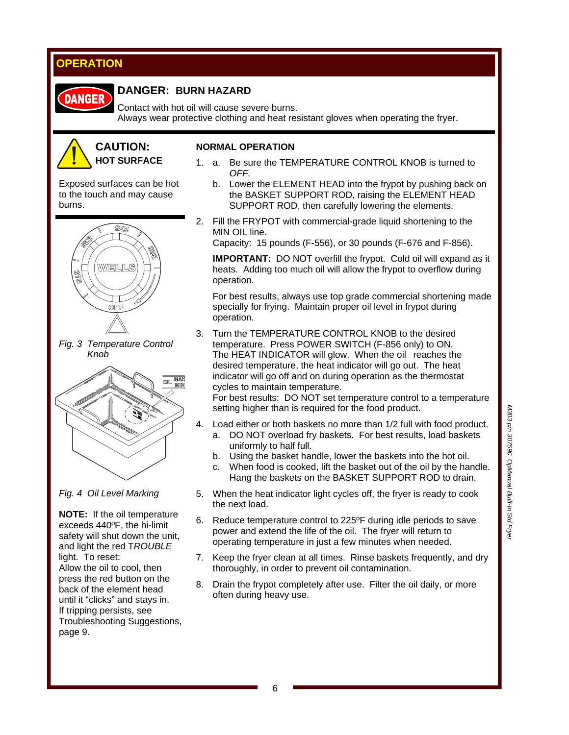# **OPERATION**



### **DANGER: BURN HAZARD**

Contact with hot oil will cause severe burns. Always wear protective clothing and heat resistant gloves when operating the fryer.



#### **NORMAL OPERATION**

1. a. Be sure the TEMPERATURE CONTROL KNOB is turned to *OFF.*

Exposed surfaces can be hot to the touch and may cause burns.



*Fig. 3 Temperature Control Knob* 



*Fig. 4 Oil Level Marking* 

**NOTE:** If the oil temperature exceeds 440ºF, the hi-limit safety will shut down the unit, and light the red T*ROUBLE*  light. To reset: Allow the oil to cool, then press the red button on the back of the element head until it "clicks" and stays in. If tripping persists, see Troubleshooting Suggestions, page 9.

- b. Lower the ELEMENT HEAD into the frypot by pushing back on the BASKET SUPPORT ROD, raising the ELEMENT HEAD
	- SUPPORT ROD, then carefully lowering the elements.
- 2. Fill the FRYPOT with commercial-grade liquid shortening to the MIN OIL line.

Capacity: 15 pounds (F-556), or 30 pounds (F-676 and F-856).

**IMPORTANT:** DO NOT overfill the frypot. Cold oil will expand as it heats. Adding too much oil will allow the frypot to overflow during operation.

 For best results, always use top grade commercial shortening made specially for frying. Maintain proper oil level in frypot during operation.

3. Turn the TEMPERATURE CONTROL KNOB to the desired temperature. Press POWER SWITCH (F-856 only) to ON. The HEAT INDICATOR will glow. When the oil reaches the desired temperature, the heat indicator will go out. The heat indicator will go off and on during operation as the thermostat cycles to maintain temperature.

 For best results: DO NOT set temperature control to a temperature setting higher than is required for the food product.

- 4. Load either or both baskets no more than 1/2 full with food product.
	- a. DO NOT overload fry baskets. For best results, load baskets uniformly to half full.
	- b. Using the basket handle, lower the baskets into the hot oil.
	- c. When food is cooked, lift the basket out of the oil by the handle. Hang the baskets on the BASKET SUPPORT ROD to drain.
- 5. When the heat indicator light cycles off, the fryer is ready to cook the next load.
- 6. Reduce temperature control to 225ºF during idle periods to save power and extend the life of the oil. The fryer will return to operating temperature in just a few minutes when needed.
- 7. Keep the fryer clean at all times. Rinse baskets frequently, and dry thoroughly, in order to prevent oil contamination.
- 8. Drain the frypot completely after use. Filter the oil daily, or more often during heavy use.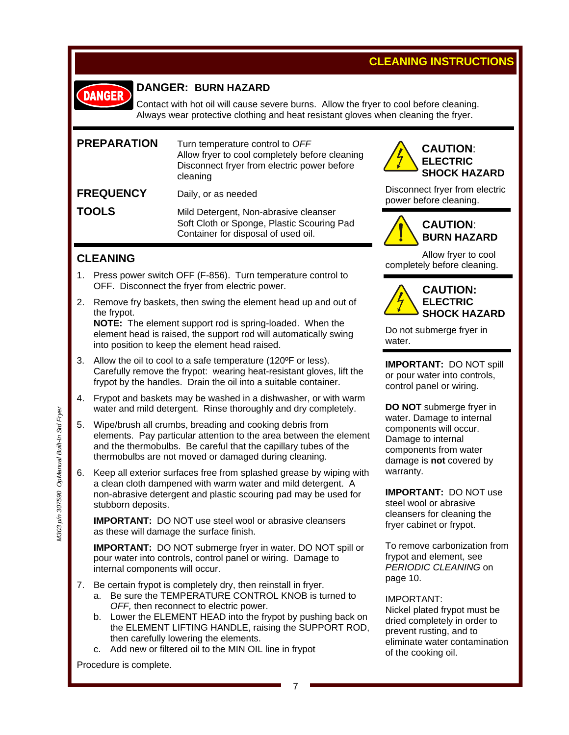# **CLEANING INSTRUCTIONS**



### **DANGER: BURN HAZARD**

Contact with hot oil will cause severe burns. Allow the fryer to cool before cleaning. Always wear protective clothing and heat resistant gloves when cleaning the fryer.

| <b>PREPARATION</b> | Turn temperature control to OFF<br>Allow fryer to cool completely before cleaning<br>Disconnect fryer from electric power before<br>cleaning |
|--------------------|----------------------------------------------------------------------------------------------------------------------------------------------|
| <b>FREQUENCY</b>   | Daily, or as needed                                                                                                                          |
| <b>TOOLS</b>       | Mild Detergent, Non-abrasive cleanser<br>Soft Cloth or Sponge, Plastic Scouring Pad<br>Container for disposal of used oil.                   |

### **CLEANING**

- 1. Press power switch OFF (F-856). Turn temperature control to OFF. Disconnect the fryer from electric power.
- 2. Remove fry baskets, then swing the element head up and out of the frypot. **NOTE:** The element support rod is spring-loaded. When the

 element head is raised, the support rod will automatically swing into position to keep the element head raised.

- 3. Allow the oil to cool to a safe temperature (120ºF or less). Carefully remove the frypot: wearing heat-resistant gloves, lift the frypot by the handles. Drain the oil into a suitable container.
- 4. Frypot and baskets may be washed in a dishwasher, or with warm water and mild detergent. Rinse thoroughly and dry completely.
- 5. Wipe/brush all crumbs, breading and cooking debris from elements. Pay particular attention to the area between the element and the thermobulbs. Be careful that the capillary tubes of the thermobulbs are not moved or damaged during cleaning.
- 6. Keep all exterior surfaces free from splashed grease by wiping with a clean cloth dampened with warm water and mild detergent. A non-abrasive detergent and plastic scouring pad may be used for stubborn deposits.

**IMPORTANT:** DO NOT use steel wool or abrasive cleansers as these will damage the surface finish.

**IMPORTANT:** DO NOT submerge fryer in water. DO NOT spill or pour water into controls, control panel or wiring. Damage to internal components will occur.

- 7. Be certain frypot is completely dry, then reinstall in fryer.
	- a. Be sure the TEMPERATURE CONTROL KNOB is turned to *OFF,* then reconnect to electric power.
	- b. Lower the ELEMENT HEAD into the frypot by pushing back on the ELEMENT LIFTING HANDLE, raising the SUPPORT ROD, then carefully lowering the elements.
	- c. Add new or filtered oil to the MIN OIL line in frypot

Procedure is complete.



Disconnect fryer from electric power before cleaning.



# **CAUTION**: **BURN HAZARD**

Allow fryer to cool completely before cleaning.



Do not submerge fryer in water.

**IMPORTANT:** DO NOT spill or pour water into controls, control panel or wiring.

**DO NOT** submerge fryer in water. Damage to internal components will occur. Damage to internal components from water damage is **not** covered by warranty.

**IMPORTANT:** DO NOT use steel wool or abrasive cleansers for cleaning the fryer cabinet or frypot.

To remove carbonization from frypot and element, see *PERIODIC CLEANING* on page 10.

#### IMPORTANT:

Nickel plated frypot must be dried completely in order to prevent rusting, and to eliminate water contamination of the cooking oil.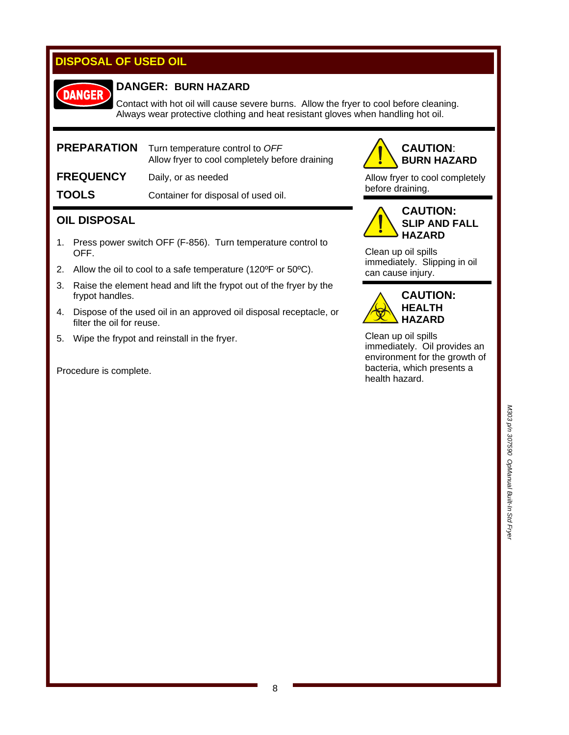# **DISPOSAL OF USED OIL**

# **DANGER**

### **DANGER: BURN HAZARD**

Contact with hot oil will cause severe burns. Allow the fryer to cool before cleaning. Always wear protective clothing and heat resistant gloves when handling hot oil.

| <b>PREPARATION</b> | Turn temperature control to OFF<br>Allow fryer to cool completely before draining |
|--------------------|-----------------------------------------------------------------------------------|
| <b>FREQUENCY</b>   | Daily, or as needed                                                               |
| <b>TOOLS</b>       | Container for disposal of used oil.                                               |

### **OIL DISPOSAL**

- 1. Press power switch OFF (F-856). Turn temperature control to OFF.
- 2. Allow the oil to cool to a safe temperature (120ºF or 50ºC).
- 3. Raise the element head and lift the frypot out of the fryer by the frypot handles.
- 4. Dispose of the used oil in an approved oil disposal receptacle, or filter the oil for reuse.
- 5. Wipe the frypot and reinstall in the fryer.

Procedure is complete.



Allow fryer to cool completely before draining.



Clean up oil spills immediately. Slipping in oil can cause injury.



Clean up oil spills immediately. Oil provides an environment for the growth of bacteria, which presents a health hazard.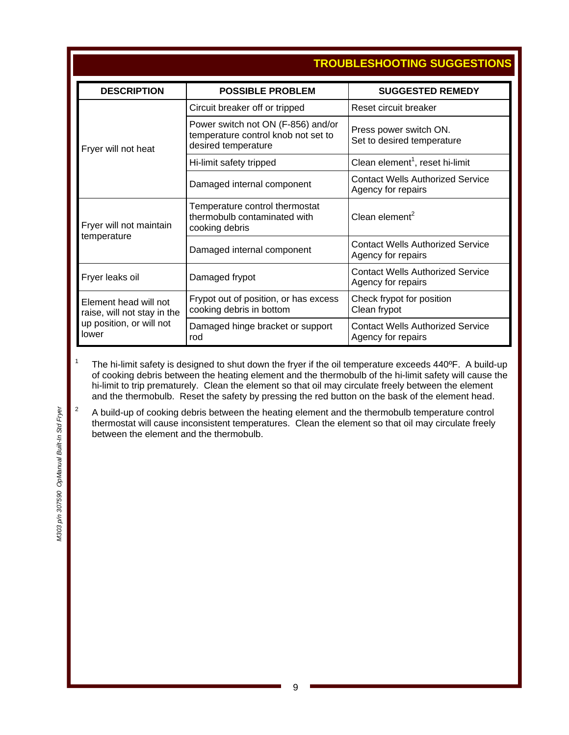|                                                                                           |                                                                                                  | TROUBLESHOOTING SUGGESTIONS                                   |  |  |
|-------------------------------------------------------------------------------------------|--------------------------------------------------------------------------------------------------|---------------------------------------------------------------|--|--|
| <b>DESCRIPTION</b>                                                                        | <b>POSSIBLE PROBLEM</b>                                                                          | <b>SUGGESTED REMEDY</b>                                       |  |  |
| Fryer will not heat                                                                       | Circuit breaker off or tripped                                                                   | Reset circuit breaker                                         |  |  |
|                                                                                           | Power switch not ON (F-856) and/or<br>temperature control knob not set to<br>desired temperature | Press power switch ON.<br>Set to desired temperature          |  |  |
|                                                                                           | Hi-limit safety tripped                                                                          | Clean element <sup>1</sup> , reset hi-limit                   |  |  |
|                                                                                           | Damaged internal component                                                                       | <b>Contact Wells Authorized Service</b><br>Agency for repairs |  |  |
| Fryer will not maintain<br>temperature                                                    | Temperature control thermostat<br>thermobulb contaminated with<br>cooking debris                 | Clean element $2$                                             |  |  |
|                                                                                           | Damaged internal component                                                                       | <b>Contact Wells Authorized Service</b><br>Agency for repairs |  |  |
| Fryer leaks oil<br>Damaged frypot                                                         |                                                                                                  | <b>Contact Wells Authorized Service</b><br>Agency for repairs |  |  |
| Element head will not<br>raise, will not stay in the<br>up position, or will not<br>lower | Frypot out of position, or has excess<br>cooking debris in bottom                                | Check frypot for position<br>Clean frypot                     |  |  |
|                                                                                           | Damaged hinge bracket or support<br>rod                                                          | <b>Contact Wells Authorized Service</b><br>Agency for repairs |  |  |

The hi-limit safety is designed to shut down the fryer if the oil temperature exceeds 440°F. A build-up of cooking debris between the heating element and the thermobulb of the hi-limit safety will cause the hi-limit to trip prematurely. Clean the element so that oil may circulate freely between the element and the thermobulb. Reset the safety by pressing the red button on the bask of the element head.

 A build-up of cooking debris between the heating element and the thermobulb temperature control thermostat will cause inconsistent temperatures. Clean the element so that oil may circulate freely between the element and the thermobulb.

1

2

### **TROUBLESHOOTING SUGGESTIONS**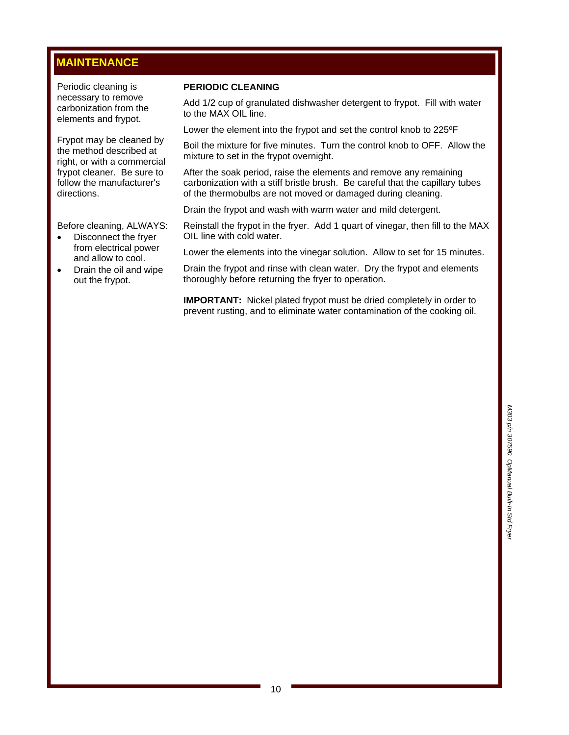# **MAINTENANCE**

Periodic cleaning is necessary to remove carbonization from the elements and frypot.

Frypot may be cleaned by the method described at right, or with a commercial frypot cleaner. Be sure to follow the manufacturer's directions.

Before cleaning, ALWAYS:

- Disconnect the fryer from electrical power and allow to cool.
- Drain the oil and wipe out the frypot.

#### **PERIODIC CLEANING**

Add 1/2 cup of granulated dishwasher detergent to frypot. Fill with water to the MAX OIL line.

Lower the element into the frypot and set the control knob to 225ºF

Boil the mixture for five minutes. Turn the control knob to OFF. Allow the mixture to set in the frypot overnight.

After the soak period, raise the elements and remove any remaining carbonization with a stiff bristle brush. Be careful that the capillary tubes of the thermobulbs are not moved or damaged during cleaning.

Drain the frypot and wash with warm water and mild detergent.

Reinstall the frypot in the fryer. Add 1 quart of vinegar, then fill to the MAX OIL line with cold water.

Lower the elements into the vinegar solution. Allow to set for 15 minutes.

Drain the frypot and rinse with clean water. Dry the frypot and elements thoroughly before returning the fryer to operation.

**IMPORTANT:** Nickel plated frypot must be dried completely in order to prevent rusting, and to eliminate water contamination of the cooking oil.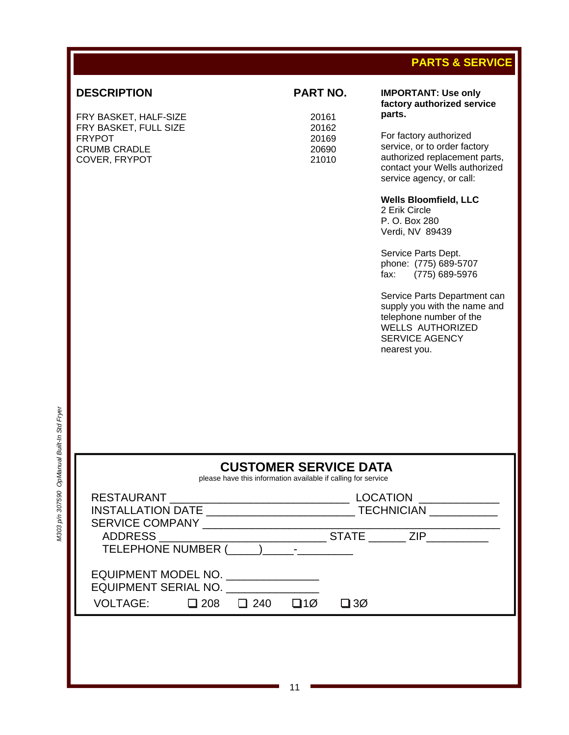# **PARTS & SERVICE**

### **DESCRIPTION PART NO.**

FRY BASKET, HALF-SIZE 20161 FRY BASKET, FULL SIZE FRYPOT 20169<br>CRUMB CRADLE 20690 **CRUMB CRADLE** COVER, FRYPOT 21010

#### **IMPORTANT: Use only factory authorized service parts.**

For factory authorized service, or to order factory authorized replacement parts, contact your Wells authorized service agency, or call:

**Wells Bloomfield, LLC** 

2 Erik Circle P. O. Box 280 Verdi, NV 89439

Service Parts Dept. phone: (775) 689-5707 fax: (775) 689-5976

Service Parts Department can supply you with the name and telephone number of the WELLS AUTHORIZED SERVICE AGENCY nearest you.

|                                                                                                                                                                                                                                |  |           | <b>CUSTOMER SERVICE DATA</b><br>please have this information available if calling for service |                 |  |
|--------------------------------------------------------------------------------------------------------------------------------------------------------------------------------------------------------------------------------|--|-----------|-----------------------------------------------------------------------------------------------|-----------------|--|
|                                                                                                                                                                                                                                |  |           |                                                                                               | <b>LOCATION</b> |  |
|                                                                                                                                                                                                                                |  |           |                                                                                               |                 |  |
| SERVICE COMPANY And the state of the state of the state of the state of the state of the state of the state of the state of the state of the state of the state of the state of the state of the state of the state of the sta |  |           |                                                                                               |                 |  |
|                                                                                                                                                                                                                                |  |           |                                                                                               |                 |  |
|                                                                                                                                                                                                                                |  |           |                                                                                               |                 |  |
| EQUIPMENT MODEL NO.<br>EQUIPMENT SERIAL NO.                                                                                                                                                                                    |  |           |                                                                                               |                 |  |
| VOLTAGE: $\Box$ 208 $\Box$ 240                                                                                                                                                                                                 |  | $\Box$ 10 | $\square$ 30                                                                                  |                 |  |
|                                                                                                                                                                                                                                |  |           |                                                                                               |                 |  |
|                                                                                                                                                                                                                                |  |           |                                                                                               |                 |  |
|                                                                                                                                                                                                                                |  |           |                                                                                               |                 |  |
|                                                                                                                                                                                                                                |  |           |                                                                                               |                 |  |